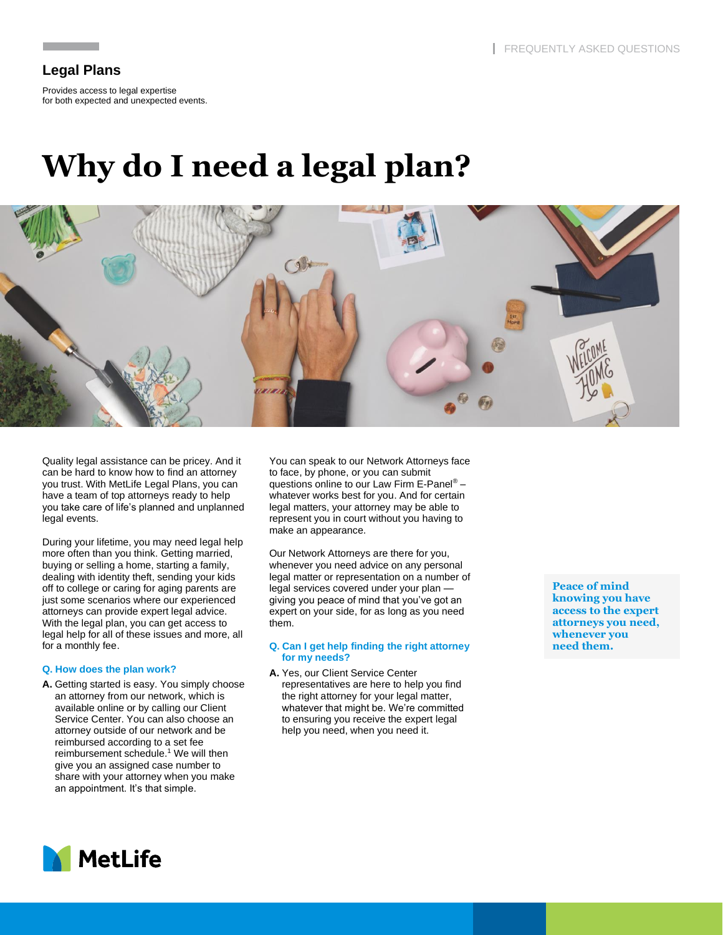# **Legal Plans**

Provides access to legal expertise for both expected and unexpected events.

# **Why do I need a legal plan?**



Quality legal assistance can be pricey. And it can be hard to know how to find an attorney you trust. With MetLife Legal Plans, you can have a team of top attorneys ready to help you take care of life's planned and unplanned legal events.

During your lifetime, you may need legal help more often than you think. Getting married, buying or selling a home, starting a family, dealing with identity theft, sending your kids off to college or caring for aging parents are just some scenarios where our experienced attorneys can provide expert legal advice. With the legal plan, you can get access to legal help for all of these issues and more, all for a monthly fee.

# **Q. How does the plan work?**

**A.** Getting started is easy. You simply choose an attorney from our network, which is available online or by calling our Client Service Center. You can also choose an attorney outside of our network and be reimbursed according to a set fee reimbursement schedule. $<sup>1</sup>$  We will then</sup> give you an assigned case number to share with your attorney when you make an appointment. It's that simple.

You can speak to our Network Attorneys face to face, by phone, or you can submit questions online to our Law Firm E-Panel® – whatever works best for you. And for certain legal matters, your attorney may be able to represent you in court without you having to make an appearance.

Our Network Attorneys are there for you, whenever you need advice on any personal legal matter or representation on a number of legal services covered under your plan giving you peace of mind that you've got an expert on your side, for as long as you need them.

#### **Q. Can I get help finding the right attorney for my needs?**

**A.** Yes, our Client Service Center representatives are here to help you find the right attorney for your legal matter, whatever that might be. We're committed to ensuring you receive the expert legal help you need, when you need it.

**Peace of mind knowing you have access to the expert attorneys you need, whenever you need them.**